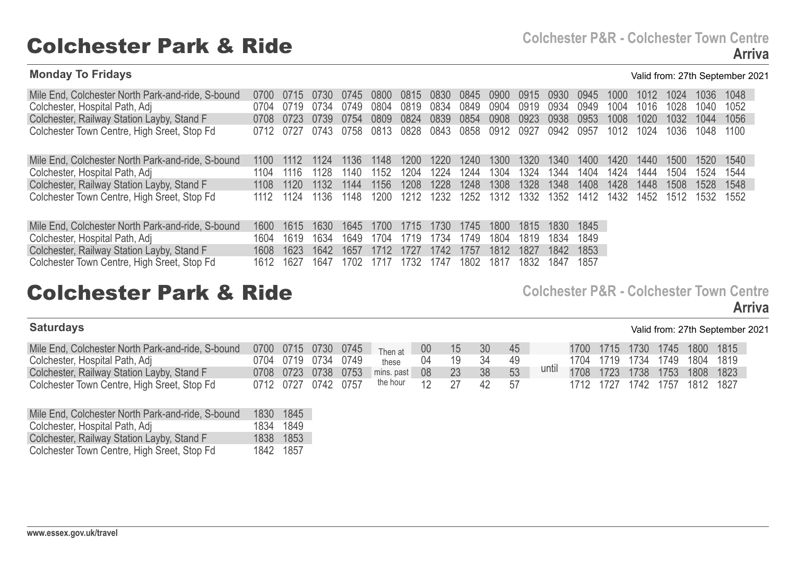### **Monday To Fridays** Valid from: 27th September 2021

| Mile End, Colchester North Park-and-ride, S-bound | (1700) |       | (17.30) | (1/45) | 0800  | 0815 | 0830 | 0845 | 0900 | 0915 | 0930 | 0945 | 1000 | 1012 | 1024 | 1036 | 1048 |
|---------------------------------------------------|--------|-------|---------|--------|-------|------|------|------|------|------|------|------|------|------|------|------|------|
|                                                   | 0704   | በ719  | 0734    | 0749   | 0804  | 0819 |      | 0849 |      |      | 0934 |      |      | 1016 | 1028 |      |      |
| Colchester, Hospital Path, Adj                    |        |       |         |        |       |      | 0834 |      | 0904 | 0919 |      | 0949 | 1004 |      |      | 1040 | 1052 |
| Colchester, Railway Station Layby, Stand F        | 0708   | 0723  | 0739    | 0754   | 0809  | 0824 | 0839 | 0854 | 0908 | 0923 | 0938 | 0953 | 1008 | 1020 | 1032 | 1044 | 1056 |
| Colchester Town Centre, High Sreet, Stop Fd       | 0712   | 0727  | 0743    | 0758   | 0813  | 0828 | 0843 | 0858 | 0912 | 0927 | 0942 | 0957 | 1012 | 1024 | 1036 | 1048 | 1100 |
| Mile End, Colchester North Park-and-ride, S-bound | 1100.  | 1112  | 1124    | 1136   | 1148  | 1200 | 1220 | 1240 | 1300 | 1320 | 1340 | 1400 | 1420 | 1440 | 1500 | 1520 | 1540 |
| Colchester, Hospital Path, Adj                    | 1104   | 1116  | 1128    | 1140   | 1152  | 1204 | 1224 | 1244 | 1304 | 1324 | 1344 | 1404 | 1424 | 1444 | 1504 | 1524 | 1544 |
| Colchester, Railway Station Layby, Stand F        | 1108   | 1120. | 1132    | 1144   | 1156  | 1208 | 1228 | 1248 | 1308 | 1328 | 1348 | 1408 | 1428 | 1448 | 1508 | 1528 | 1548 |
| Colchester Town Centre, High Sreet, Stop Fd       | 1112   | 1124  | 1136    | 1148   | 1200  | 1212 | 1232 | 1252 | 1312 | 1332 | 1352 | 1412 | 1432 | 1452 | 1512 | 1532 | 1552 |
| Mile End, Colchester North Park-and-ride, S-bound | 1600   | 1615  | 1630    | 1645   | 1700. | 1715 | 1730 | 1745 | 1800 | 1815 | 1830 | 1845 |      |      |      |      |      |
| Colchester, Hospital Path, Adj                    | 1604   | 1619  | 1634    | 1649   | 1704  | 1719 | 1734 | 1749 | 1804 | 1819 | 1834 | 1849 |      |      |      |      |      |
| Colchester, Railway Station Layby, Stand F        | 1608   | 1623  | 1642    | 1657   | 1712  | 1727 | 1742 | 1757 | 1812 | 1827 | 1842 | 1853 |      |      |      |      |      |
| Colchester Town Centre, High Sreet, Stop Fd       | 1612   | 1627  | 1647    | 702    | 1717  | 1732 | 1747 | 1802 | 1817 | 1832 | 1847 | 1857 |      |      |      |      |      |

## Colchester Park & Ride **Colchester P&R - Colchester Town Centre**

**Saturdays** Valid from: 27th September 2021

| Mile End, Colchester North Park-and-ride, S-bound 0700 0715 0730 0745 Then at 00 |  |                     |                                   |    | - 15 | - 30  | 45 |       |  | 1700 1715 1730 1745 1800 1815 |  |
|----------------------------------------------------------------------------------|--|---------------------|-----------------------------------|----|------|-------|----|-------|--|-------------------------------|--|
| Colchester, Hospital Path, Adj                                                   |  | 0704 0719 0734 0749 | these 04                          |    | 19   | - 34  |    |       |  | 1704 1719 1734 1749 1804 1819 |  |
| Colchester, Railway Station Layby, Stand F                                       |  |                     | 0708 0723 0738 0753 mins. past 08 |    |      |       |    | until |  | 1708 1723 1738 1753 1808 1823 |  |
| Colchester Town Centre, High Sreet, Stop Fd                                      |  |                     | 0712 0727 0742 0757 the hour      | 12 |      | 42 57 |    |       |  | 1712 1727 1742 1757 1812 1827 |  |

| Mile End, Colchester North Park-and-ride, S-bound | 1830      | 1845  |
|---------------------------------------------------|-----------|-------|
| Colchester, Hospital Path, Adj                    | 1834      | -1849 |
| Colchester, Railway Station Layby, Stand F        | 1838 1853 |       |
| Colchester Town Centre, High Sreet, Stop Fd       | 1842 1857 |       |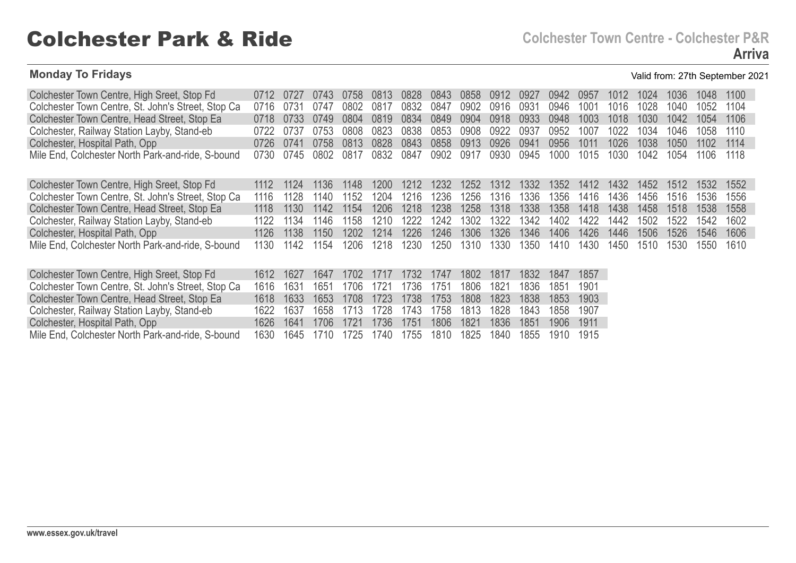## Colchester Park & Ride **Colchester Town Centre - Colchester P&R**

### **Monday To Fridays** Valid from: 27th September 2021

| Colchester Town Centre, High Sreet, Stop Fd        | (1712) | (172) | (174.3)          | (1758) | 0813             | 0828 | 0843             | 0858 | 0912 | 0927  | 0942             | 0957 | 1012  | 1024  | 1036 | 1048 | 1100 |  |
|----------------------------------------------------|--------|-------|------------------|--------|------------------|------|------------------|------|------|-------|------------------|------|-------|-------|------|------|------|--|
| Colchester Town Centre, St. John's Street, Stop Ca | 0716   | 073'  | 0747             | 0802   | 0817             | 0832 | 0847             | 0902 | 0916 | 0931  | 0946             | 1001 | 1016  | 1028  | 1040 | 1052 | 1104 |  |
| Colchester Town Centre, Head Street, Stop Ea       | 0718   | 0733  | 0749             | 0804   | 0819             | 0834 | 0849             | 0904 | 0918 | 0933  | 0948             | 1003 | 1018  | 1030  | 1042 | 1054 | 1106 |  |
| Colchester, Railway Station Layby, Stand-eb        | 0722   | 0737  | 0753             | 0808   | 0823             | 0838 | 0853             | 0908 | 0922 | 0937  | 0952             | 1007 | 1022  | 1034  | 1046 | 1058 | 1110 |  |
| Colchester, Hospital Path, Opp                     | 0726.  | 0741  | 0758             | 0813   | 0828             | 0843 | 0858             | 0913 | 0926 | 0941  | 0956             | 1011 | 1026  | 1038  | 1050 | 1102 | 1114 |  |
| Mile End, Colchester North Park-and-ride, S-bound  | 0730   | 0745  | 0802             | 0817   | 0832             | 0847 | 0902             | 0917 | 0930 | 0945  | 1000             | 1015 | 1030  | 1042  | 1054 | 1106 | 1118 |  |
|                                                    |        |       |                  |        |                  |      |                  |      |      |       |                  |      |       |       |      |      |      |  |
| Colchester Town Centre, High Sreet, Stop Fd        | 1112   | 1124  | 1136             | 1148   | 1200             | 1212 | 1232             | 1252 | 1312 | 1332  | 1352             | 1412 | 1432  | 1452  | 1512 | 1532 | 1552 |  |
| Colchester Town Centre, St. John's Street, Stop Ca | 1116   | 1128  | 140              | 1152   | 1204             | 1216 | 1236             | 1256 | 1316 | 1336. | 1356.            | 1416 | 1436. | 1456. | 1516 | 1536 | 1556 |  |
| Colchester Town Centre, Head Street, Stop Ea       | 1118   | 1130  | 1142             | 1154   | 1206             | 1218 | 1238             | 1258 | 1318 | 1338  | 1358             | 1418 | 1438  | 1458  | 1518 | 1538 | 1558 |  |
| Colchester, Railway Station Layby, Stand-eb        | 1122   | 1134  | 1146             | 1158   | 1210             | 1222 | 1242             | 1302 | 1322 | 1342  | 1402             | 1422 | 1442  | 1502  | 1522 | 1542 | 1602 |  |
| Colchester, Hospital Path, Opp                     | 1126   | 1138  | 1150             | 1202   | 1214             | 1226 | 1246             | 1306 | 1326 | 1346  | 1406             | 1426 | 1446  | 1506  | 1526 | 1546 | 1606 |  |
| Mile End, Colchester North Park-and-ride, S-bound  | 1130   | 1142  | 1154             | 1206.  | 1218             | 1230 | 1250             | 1310 | 1330 | 1350  | 1410             | 1430 | 1450  | 1510  | 1530 | 1550 | 1610 |  |
|                                                    |        |       |                  |        |                  |      |                  |      |      |       |                  |      |       |       |      |      |      |  |
| Colchester Town Centre, High Sreet, Stop Fd        | 1612   | 1627  | 1647             | 1702   | 1717             | 1732 | 1747             | 1802 | 1817 | 1832  | 1847             | 1857 |       |       |      |      |      |  |
| Colchester Town Centre, St. John's Street, Stop Ca | 1616   | 1631  | 1651             | 1706   | 172'             | 1736 | 1751             | 1806 | 1821 | 1836  | 1851             | 1901 |       |       |      |      |      |  |
| Colchester Town Centre, Head Street, Stop Ea       | 1618   | 1633  | 1653             | 1708   | 1723             | 1738 | 1753             | 1808 | 1823 | 1838  | 1853             | 1903 |       |       |      |      |      |  |
| Colchester, Railway Station Layby, Stand-eb        | 1622   | 1637  | 1658             |        | 1728             | 1743 | 1758             | 1813 | 1828 | 1843  | 1858             | 1907 |       |       |      |      |      |  |
| Colchoetor Hoepital Dath Onn                       | 1676   | 1611  | 170 <sub>6</sub> | 1701   | 172 <sub>6</sub> | 1751 | 190 <sub>6</sub> | 1001 | 1026 | 1951  | 100 <sub>6</sub> | 1011 |       |       |      |      |      |  |

Colchester, Hospital Path, Opp Mile End, Colchester North Park-and-ride, S-bound 1626 1641 1706 1721 1736 1751 1806 1821 1836 1851 1906 1911 1630 1645 1710 1725 1740 1755 1810 1825 1840 1855 1910 1915